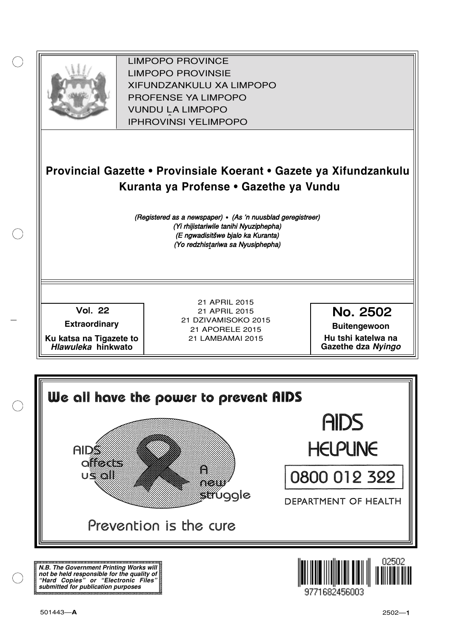

XIFUNDZANKULU XA LIMPOPO<br>PROFENCE XA LIMPORO PROFENSE YA LIMPOPO<br>WILDOLLA LIMPORO SOUTH A LIMPOPO<br>A LIPHROVINSI YELIMPOPO LIMPOPO PROVINCE LIMPOPO PROVINSIE IPHROVINSI YELIMPOPO

# **Provincial Gazette • Provinsiale Koerant • Gazete ya Xifundzankulu Kuranta ya Profense • Gazethe ya Vundu**

(Registered as a newspaper) • (As 'n nuusblad geregistreer) (Yi rhijistariwile tanihi Nyuziphepha) (E ngwadisitšwe bjalo ka Kuranta) (Yo redzhistariwa sa Nyusiphepha)

Vol.- 22

**Extraordinary**

**Ku katsa na Tigazete to Hlawuleka hinkwato**

21 APRIL 2015 21 APRIL 2015 21 DZIVAMISOKO 2015 21 APORELE 2015 21 LAMBAMAI 2015

No. 2502

**Buitengewoon Hu tshi katelwa na Gazethe dza Nyingo**



**N.B. The Government Printing Works will not be held responsible for the quality of "Hard Copies" or "Electronic Files" submitted for publication purposes**